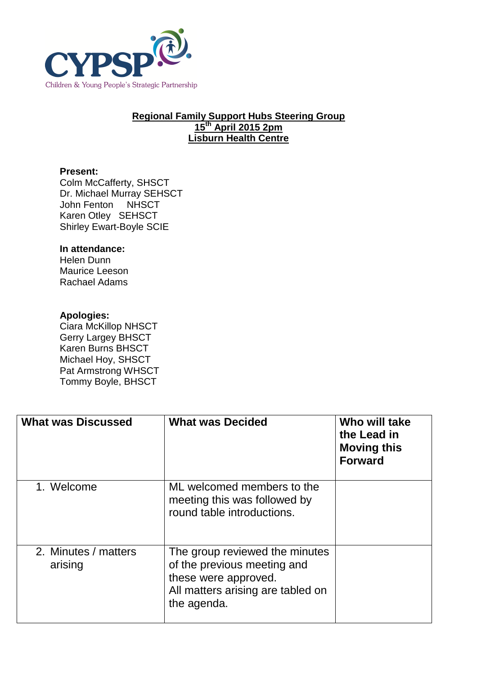

## **Regional Family Support Hubs Steering Group 15th April 2015 2pm Lisburn Health Centre**

## **Present:**

Colm McCafferty, SHSCT Dr. Michael Murray SEHSCT John Fenton NHSCT Karen Otley SEHSCT Shirley Ewart-Boyle SCIE

## **In attendance:**

Helen Dunn Maurice Leeson Rachael Adams

## **Apologies:**

Ciara McKillop NHSCT Gerry Largey BHSCT Karen Burns BHSCT Michael Hoy, SHSCT Pat Armstrong WHSCT Tommy Boyle, BHSCT

| <b>What was Discussed</b>       | <b>What was Decided</b>                                                                                                                   | Who will take<br>the Lead in<br><b>Moving this</b><br><b>Forward</b> |
|---------------------------------|-------------------------------------------------------------------------------------------------------------------------------------------|----------------------------------------------------------------------|
| 1. Welcome                      | ML welcomed members to the<br>meeting this was followed by<br>round table introductions.                                                  |                                                                      |
| 2. Minutes / matters<br>arising | The group reviewed the minutes<br>of the previous meeting and<br>these were approved.<br>All matters arising are tabled on<br>the agenda. |                                                                      |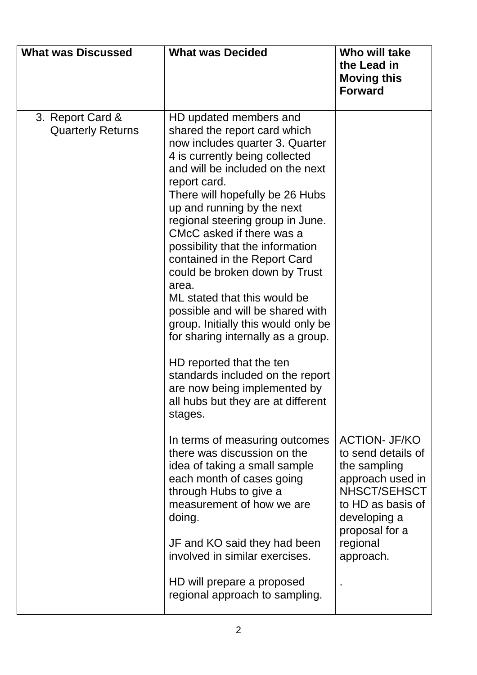| <b>What was Discussed</b>                    | <b>What was Decided</b>                                                                                                                                                                                                                                                                                                                                                                                                                                                                                                                                                          | Who will take<br>the Lead in<br><b>Moving this</b><br><b>Forward</b>                                                                                  |
|----------------------------------------------|----------------------------------------------------------------------------------------------------------------------------------------------------------------------------------------------------------------------------------------------------------------------------------------------------------------------------------------------------------------------------------------------------------------------------------------------------------------------------------------------------------------------------------------------------------------------------------|-------------------------------------------------------------------------------------------------------------------------------------------------------|
| 3. Report Card &<br><b>Quarterly Returns</b> | HD updated members and<br>shared the report card which<br>now includes quarter 3. Quarter<br>4 is currently being collected<br>and will be included on the next<br>report card.<br>There will hopefully be 26 Hubs<br>up and running by the next<br>regional steering group in June.<br>CMcC asked if there was a<br>possibility that the information<br>contained in the Report Card<br>could be broken down by Trust<br>area.<br>ML stated that this would be<br>possible and will be shared with<br>group. Initially this would only be<br>for sharing internally as a group. |                                                                                                                                                       |
|                                              | HD reported that the ten<br>standards included on the report<br>are now being implemented by<br>all hubs but they are at different<br>stages.                                                                                                                                                                                                                                                                                                                                                                                                                                    |                                                                                                                                                       |
|                                              | In terms of measuring outcomes<br>there was discussion on the<br>idea of taking a small sample<br>each month of cases going<br>through Hubs to give a<br>measurement of how we are<br>doing.                                                                                                                                                                                                                                                                                                                                                                                     | <b>ACTION- JF/KO</b><br>to send details of<br>the sampling<br>approach used in<br>NHSCT/SEHSCT<br>to HD as basis of<br>developing a<br>proposal for a |
|                                              | JF and KO said they had been<br>involved in similar exercises.                                                                                                                                                                                                                                                                                                                                                                                                                                                                                                                   | regional<br>approach.                                                                                                                                 |
|                                              | HD will prepare a proposed<br>regional approach to sampling.                                                                                                                                                                                                                                                                                                                                                                                                                                                                                                                     |                                                                                                                                                       |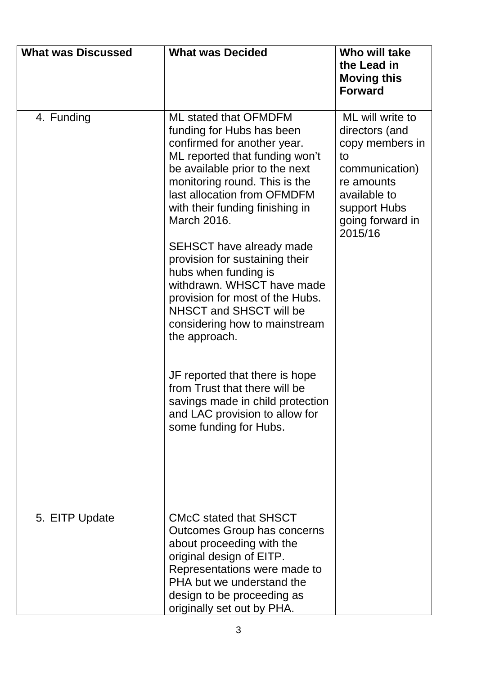| <b>What was Discussed</b> | <b>What was Decided</b>                                                                                                                                                                                                                                                                                                                                                                                                                                                                                                                                                                                                                                                                      | Who will take<br>the Lead in<br><b>Moving this</b><br><b>Forward</b>                                                                                       |
|---------------------------|----------------------------------------------------------------------------------------------------------------------------------------------------------------------------------------------------------------------------------------------------------------------------------------------------------------------------------------------------------------------------------------------------------------------------------------------------------------------------------------------------------------------------------------------------------------------------------------------------------------------------------------------------------------------------------------------|------------------------------------------------------------------------------------------------------------------------------------------------------------|
| 4. Funding                | <b>ML stated that OFMDFM</b><br>funding for Hubs has been<br>confirmed for another year.<br>ML reported that funding won't<br>be available prior to the next<br>monitoring round. This is the<br>last allocation from OFMDFM<br>with their funding finishing in<br>March 2016.<br><b>SEHSCT</b> have already made<br>provision for sustaining their<br>hubs when funding is<br>withdrawn. WHSCT have made<br>provision for most of the Hubs.<br>NHSCT and SHSCT will be<br>considering how to mainstream<br>the approach.<br>JF reported that there is hope<br>from Trust that there will be<br>savings made in child protection<br>and LAC provision to allow for<br>some funding for Hubs. | ML will write to<br>directors (and<br>copy members in<br>to<br>communication)<br>re amounts<br>available to<br>support Hubs<br>going forward in<br>2015/16 |
| 5. EITP Update            | <b>CMcC stated that SHSCT</b><br>Outcomes Group has concerns<br>about proceeding with the<br>original design of EITP.<br>Representations were made to<br>PHA but we understand the<br>design to be proceeding as<br>originally set out by PHA.                                                                                                                                                                                                                                                                                                                                                                                                                                               |                                                                                                                                                            |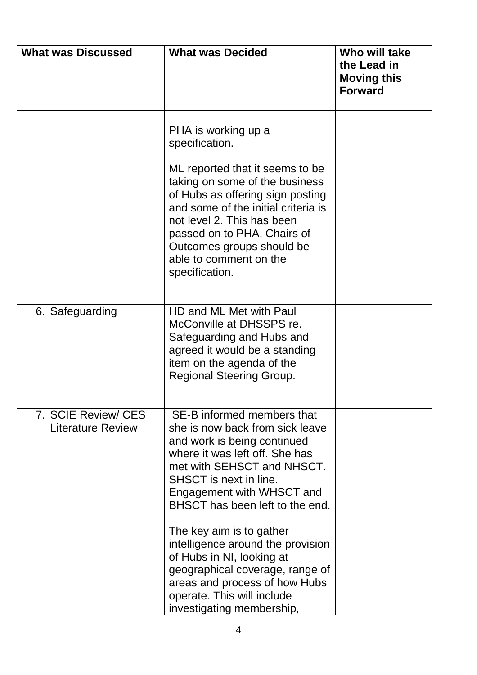| <b>What was Discussed</b>                       | <b>What was Decided</b>                                                                                                                                                                                                                                                                                                     | Who will take<br>the Lead in<br><b>Moving this</b><br><b>Forward</b> |
|-------------------------------------------------|-----------------------------------------------------------------------------------------------------------------------------------------------------------------------------------------------------------------------------------------------------------------------------------------------------------------------------|----------------------------------------------------------------------|
|                                                 | PHA is working up a<br>specification.<br>ML reported that it seems to be<br>taking on some of the business<br>of Hubs as offering sign posting<br>and some of the initial criteria is<br>not level 2. This has been<br>passed on to PHA. Chairs of<br>Outcomes groups should be<br>able to comment on the<br>specification. |                                                                      |
| 6. Safeguarding                                 | HD and ML Met with Paul<br>McConville at DHSSPS re.<br>Safeguarding and Hubs and<br>agreed it would be a standing<br>item on the agenda of the<br><b>Regional Steering Group.</b>                                                                                                                                           |                                                                      |
| 7. SCIE Review/ CES<br><b>Literature Review</b> | SE-B informed members that<br>she is now back from sick leave<br>and work is being continued<br>where it was left off. She has<br>met with SEHSCT and NHSCT.<br>SHSCT is next in line.<br>Engagement with WHSCT and<br>BHSCT has been left to the end.<br>The key aim is to gather                                          |                                                                      |
|                                                 | intelligence around the provision<br>of Hubs in NI, looking at<br>geographical coverage, range of<br>areas and process of how Hubs<br>operate. This will include<br>investigating membership,                                                                                                                               |                                                                      |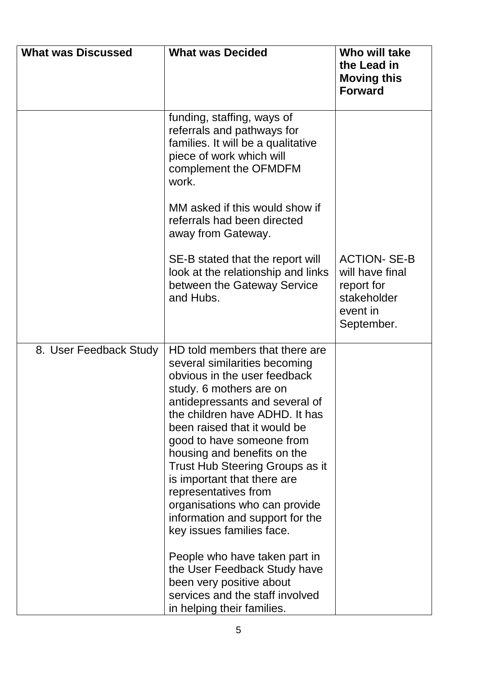| <b>What was Discussed</b> | <b>What was Decided</b>                                                                                                                                                                                                                                                                                                                                                                                                                                                                                                                                                                                                                             | Who will take<br>the Lead in<br><b>Moving this</b><br><b>Forward</b>                          |
|---------------------------|-----------------------------------------------------------------------------------------------------------------------------------------------------------------------------------------------------------------------------------------------------------------------------------------------------------------------------------------------------------------------------------------------------------------------------------------------------------------------------------------------------------------------------------------------------------------------------------------------------------------------------------------------------|-----------------------------------------------------------------------------------------------|
|                           | funding, staffing, ways of<br>referrals and pathways for<br>families. It will be a qualitative<br>piece of work which will<br>complement the OFMDFM<br>work.                                                                                                                                                                                                                                                                                                                                                                                                                                                                                        |                                                                                               |
|                           | MM asked if this would show if<br>referrals had been directed<br>away from Gateway.                                                                                                                                                                                                                                                                                                                                                                                                                                                                                                                                                                 |                                                                                               |
|                           | SE-B stated that the report will<br>look at the relationship and links<br>between the Gateway Service<br>and Hubs.                                                                                                                                                                                                                                                                                                                                                                                                                                                                                                                                  | <b>ACTION- SE-B</b><br>will have final<br>report for<br>stakeholder<br>event in<br>September. |
| 8. User Feedback Study    | HD told members that there are<br>several similarities becoming<br>obvious in the user feedback<br>study. 6 mothers are on<br>antidepressants and several of<br>the children have ADHD. It has<br>been raised that it would be<br>good to have someone from<br>housing and benefits on the<br>Trust Hub Steering Groups as it<br>is important that there are<br>representatives from<br>organisations who can provide<br>information and support for the<br>key issues families face.<br>People who have taken part in<br>the User Feedback Study have<br>been very positive about<br>services and the staff involved<br>in helping their families. |                                                                                               |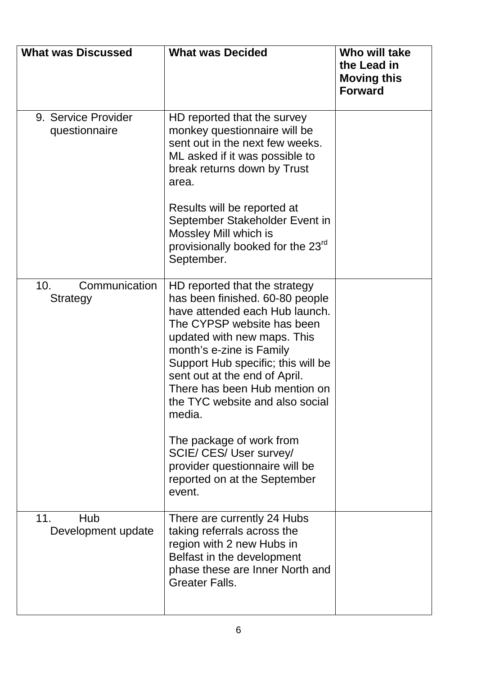| <b>What was Discussed</b>                    | <b>What was Decided</b>                                                                                                                                                                                                                                                                                                                                                      | Who will take<br>the Lead in<br><b>Moving this</b><br><b>Forward</b> |
|----------------------------------------------|------------------------------------------------------------------------------------------------------------------------------------------------------------------------------------------------------------------------------------------------------------------------------------------------------------------------------------------------------------------------------|----------------------------------------------------------------------|
| 9. Service Provider<br>questionnaire         | HD reported that the survey<br>monkey questionnaire will be<br>sent out in the next few weeks.<br>ML asked if it was possible to<br>break returns down by Trust<br>area.                                                                                                                                                                                                     |                                                                      |
|                                              | Results will be reported at<br>September Stakeholder Event in<br>Mossley Mill which is<br>provisionally booked for the 23 <sup>rd</sup><br>September.                                                                                                                                                                                                                        |                                                                      |
| Communication<br>10 <sub>1</sub><br>Strategy | HD reported that the strategy<br>has been finished. 60-80 people<br>have attended each Hub launch.<br>The CYPSP website has been<br>updated with new maps. This<br>month's e-zine is Family<br>Support Hub specific; this will be<br>sent out at the end of April.<br>There has been Hub mention on<br>the TYC website and also social<br>media.<br>The package of work from |                                                                      |
|                                              | SCIE/ CES/ User survey/<br>provider questionnaire will be<br>reported on at the September<br>event.                                                                                                                                                                                                                                                                          |                                                                      |
| 11.<br>Hub<br>Development update             | There are currently 24 Hubs<br>taking referrals across the<br>region with 2 new Hubs in<br>Belfast in the development<br>phase these are Inner North and<br><b>Greater Falls.</b>                                                                                                                                                                                            |                                                                      |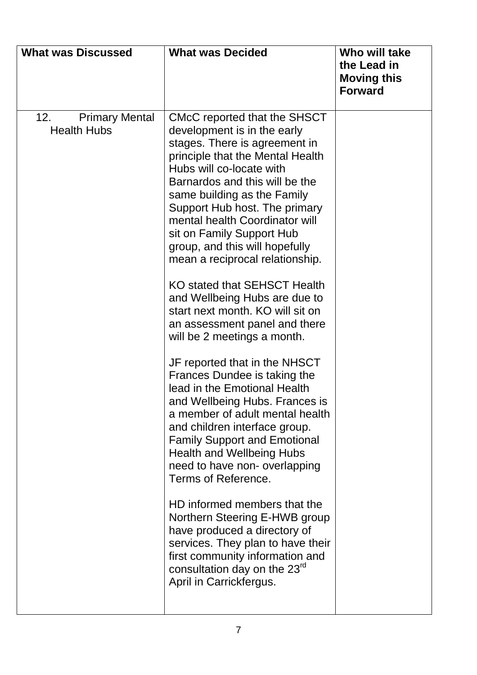| <b>What was Discussed</b>                          | <b>What was Decided</b>                                                                                                                                                                                                                                                                                                                                                                                                                                                                                                                                                 | Who will take<br>the Lead in<br><b>Moving this</b><br><b>Forward</b> |
|----------------------------------------------------|-------------------------------------------------------------------------------------------------------------------------------------------------------------------------------------------------------------------------------------------------------------------------------------------------------------------------------------------------------------------------------------------------------------------------------------------------------------------------------------------------------------------------------------------------------------------------|----------------------------------------------------------------------|
| <b>Primary Mental</b><br>12.<br><b>Health Hubs</b> | CMcC reported that the SHSCT<br>development is in the early<br>stages. There is agreement in<br>principle that the Mental Health<br>Hubs will co-locate with<br>Barnardos and this will be the<br>same building as the Family<br>Support Hub host. The primary<br>mental health Coordinator will<br>sit on Family Support Hub<br>group, and this will hopefully<br>mean a reciprocal relationship.<br>KO stated that SEHSCT Health<br>and Wellbeing Hubs are due to<br>start next month. KO will sit on<br>an assessment panel and there<br>will be 2 meetings a month. |                                                                      |
|                                                    | JF reported that in the NHSCT<br>Frances Dundee is taking the<br>lead in the Emotional Health<br>and Wellbeing Hubs. Frances is<br>a member of adult mental health<br>and children interface group.<br><b>Family Support and Emotional</b><br><b>Health and Wellbeing Hubs</b><br>need to have non- overlapping<br>Terms of Reference.                                                                                                                                                                                                                                  |                                                                      |
|                                                    | HD informed members that the<br>Northern Steering E-HWB group<br>have produced a directory of<br>services. They plan to have their<br>first community information and<br>consultation day on the 23 <sup>rd</sup><br>April in Carrickfergus.                                                                                                                                                                                                                                                                                                                            |                                                                      |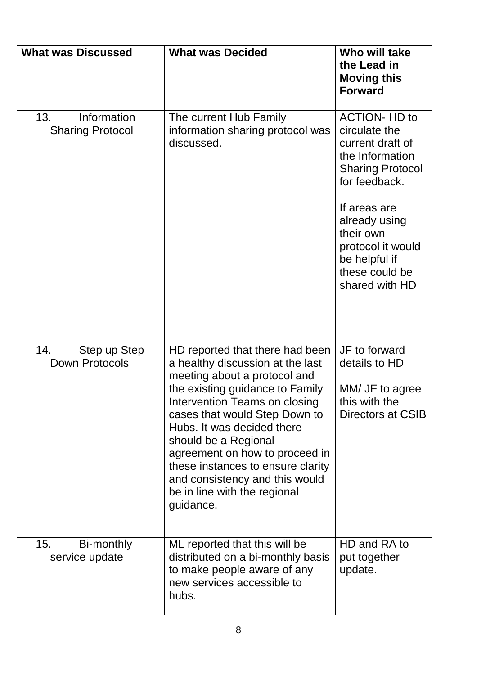| <b>What was Discussed</b>                     | <b>What was Decided</b>                                                                                                                                                                                                                                                                                                                                                                                              | Who will take<br>the Lead in<br><b>Moving this</b><br><b>Forward</b>                                                                                                                                                                             |
|-----------------------------------------------|----------------------------------------------------------------------------------------------------------------------------------------------------------------------------------------------------------------------------------------------------------------------------------------------------------------------------------------------------------------------------------------------------------------------|--------------------------------------------------------------------------------------------------------------------------------------------------------------------------------------------------------------------------------------------------|
| 13.<br>Information<br><b>Sharing Protocol</b> | The current Hub Family<br>information sharing protocol was<br>discussed.                                                                                                                                                                                                                                                                                                                                             | <b>ACTION- HD to</b><br>circulate the<br>current draft of<br>the Information<br><b>Sharing Protocol</b><br>for feedback.<br>If areas are<br>already using<br>their own<br>protocol it would<br>be helpful if<br>these could be<br>shared with HD |
| 14.<br>Step up Step<br>Down Protocols         | HD reported that there had been<br>a healthy discussion at the last<br>meeting about a protocol and<br>the existing guidance to Family<br>Intervention Teams on closing<br>cases that would Step Down to<br>Hubs. It was decided there<br>should be a Regional<br>agreement on how to proceed in<br>these instances to ensure clarity<br>and consistency and this would<br>be in line with the regional<br>guidance. | JF to forward<br>details to HD<br>MM/ JF to agree<br>this with the<br>Directors at CSIB                                                                                                                                                          |
| 15.<br>Bi-monthly<br>service update           | ML reported that this will be<br>distributed on a bi-monthly basis<br>to make people aware of any<br>new services accessible to<br>hubs.                                                                                                                                                                                                                                                                             | HD and RA to<br>put together<br>update.                                                                                                                                                                                                          |